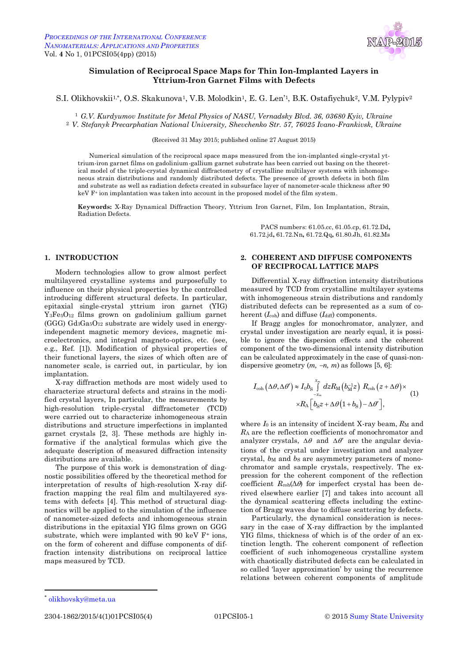

# **Simulation of Reciprocal Space Maps for Thin Ion-Implanted Layers in Yttrium-Iron Garnet Films with Defects**

S.I. Olikhovskii1\*, O.S. Skakunova<sup>1</sup>, V.B. Molodkin<sup>1</sup>, E. G. Len'<sup>1</sup>, B.K. Ostafiychuk<sup>2</sup>, V.M. Pylypiv<sup>2</sup>

<sup>1</sup> *G.V. Kurdyumov Institute for Metal Physics of NASU, Vernadsky Blvd. 36, 03680 Kyiv, Ukraine* <sup>2</sup> *V. Stefanyk Precarphatian National University, Shevchenko Str. 57, 76025 Ivano-Frankivsk, Ukraine*

(Received 31 May 2015; published online 27 August 2015)

Numerical simulation of the reciprocal space maps measured from the ion-implanted single-crystal yttrium-iron garnet films on gadolinium-gallium garnet substrate has been carried out basing on the theoretical model of the triple-crystal dynamical diffractometry of crystalline multilayer systems with inhomogeneous strain distributions and randomly distributed defects. The presence of growth defects in both film and substrate as well as radiation defects created in subsurface layer of nanometer-scale thickness after 90 keV F<sup>+</sup> ion implantation was taken into account in the proposed model of the film system.

**Keywords:** X-Ray Dynamical Diffraction Theory, Yttrium Iron Garnet, Film, Ion Implantation, Strain, Radiation Defects.

> PACS numbers: 61.05.cc, 61.05.cp, 61.72.Dd**,**  61.72.jd**,** 61.72.Nn**,** 61.72.Qq**,** 61.80.Jh, 61.82.Ms

### **1. INTRODUCTION**

Modern technologies allow to grow almost perfect multilayered crystalline systems and purposefully to influence on their physical properties by the controlled introducing different structural defects. In particular, epitaxial single-crystal yttrium iron garnet (YIG)  $Y_3Fe<sub>5</sub>O<sub>12</sub>$  films grown on gadolinium gallium garnet  $(GGG)$   $Gd_3Ga_5O_{12}$  substrate are widely used in energyindependent magnetic memory devices, magnetic microelectronics, and integral magneto-optics, etc. (see, e.g., Ref. [1]). Modification of physical properties of their functional layers, the sizes of which often are of nanometer scale, is carried out, in particular, by ion implantation.

X-ray diffraction methods are most widely used to characterize structural defects and strains in the modified crystal layers, In particular, the measurements by high-resolution triple-crystal diffractometer (TCD) were carried out to characterize inhomogeneous strain distributions and structure imperfections in implanted garnet crystals [2, 3]. These methods are highly informative if the analytical formulas which give the adequate description of measured diffraction intensity distributions are available.

The purpose of this work is demonstration of diagnostic possibilities offered by the theoretical method for interpretation of results of high-resolution X-ray diffraction mapping the real film and multilayered systems with defects [4]. This method of structural diagnostics will be applied to the simulation of the influence of nanometer-sized defects and inhomogeneous strain distributions in the epitaxial YIG films grown on GGG substrate, which were implanted with  $90 \text{ keV } F^+$  ions, on the form of coherent and diffuse components of diffraction intensity distributions on reciprocal lattice maps measured by TCD.

## **2. COHERENT AND DIFFUSE COMPONENTS OF RECIPROCAL LATTICE MAPS**

Differential X-ray diffraction intensity distributions measured by TCD from crystalline multilayer systems with inhomogeneous strain distributions and randomly distributed defects can be represented as a sum of coherent (*I*<sub>coh</sub>) and diffuse (*I*<sub>diff</sub>) components.

If Bragg angles for monochromator, analyzer, and crystal under investigation are nearly equal, it is possible to ignore the dispersion effects and the coherent component of the two-dimensional intensity distribution can be calculated approximately in the case of quasi-nondispersive geometry  $(m, -n, m)$  as follows [5, 6]:

$$
I_{\text{coh}}\left(\Delta\theta,\Delta\theta'\right) \approx I_0 b_{\text{S}} \int\limits_{-x_m}^{x_m} dz R_{\text{M}}\left(b_{\text{M}}^{-1}z\right) R_{\text{coh}}\left(z+\Delta\theta\right) \times \left(1\right) \times R_{\text{A}}\left[b_{\text{S}}z+\Delta\theta\left(1+b_{\text{S}}\right)-\Delta\theta'\right],\tag{1}
$$

where  $I_0$  is an intensity of incident X-ray beam,  $R_M$  and *R*<sup>A</sup> are the reflection coefficients of monochromator and analyzer crystals,  $\Delta\theta$  and  $\Delta\theta'$  are the angular deviations of the crystal under investigation and analyzer crystal, *b*M and *b*s are asymmetry parameters of monochromator and sample crystals, respectively. The expression for the coherent component of the reflection coefficient  $R_{coh}(\Delta\theta)$  for imperfect crystal has been derived elsewhere earlier [7] and takes into account all the dynamical scattering effects including the extinction of Bragg waves due to diffuse scattering by defects.

Particularly, the dynamical consideration is necessary in the case of X-ray diffraction by the implanted YIG films, thickness of which is of the order of an extinction length. The coherent component of reflection coefficient of such inhomogeneous crystalline system with chaotically distributed defects can be calculated in so called 'layer approximation' by using the recurrence relations between coherent components of amplitude

 $\overline{a}$ 

2304-1862/2015/4(1)01PCSI05(4) 01PCSI05-1 © 2015 Sumy State University

<sup>\*</sup> olikhovsky@meta.ua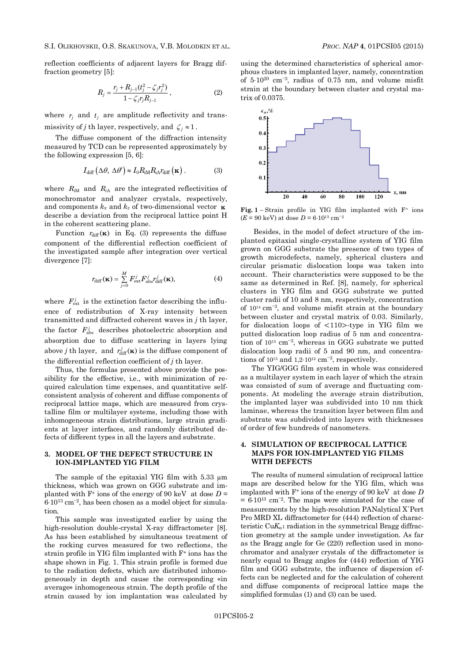reflection coefficients of adjacent layers for Bragg diffraction geometry [5]:

$$
R_j = \frac{r_j + R_{j-1}(t_j^2 - \zeta_j r_j^2)}{1 - \zeta_j r_j R_{j-1}},
$$
\n(2)

where  $r_j$  and  $t_j$  are amplitude reflectivity and transmissivity of *j* th layer, respectively, and  $\zeta_j \approx 1$ .

The diffuse component of the diffraction intensity measured by TCD can be represented approximately by the following expression [5, 6]:

$$
I_{\text{diff}}\left(\Delta\theta,\,\Delta\theta'\right) \approx I_0 R_{\text{iM}} R_{\text{iA}} r_{\text{diff}}\left(\mathbf{\kappa}\right). \tag{3}
$$

where  $R_{iM}$  and  $R_{iA}$  are the integrated reflectivities of monochromator and analyzer crystals, respectively, and components *k<sup>x</sup>* and *k<sup>z</sup>* of two-dimensional vector **κ** describe a deviation from the reciprocal lattice point H in the coherent scattering plane.

Function  $r_{\text{diff}}(\mathbf{k})$  in Eq. (3) represents the diffuse component of the differential reflection coefficient of the investigated sample after integration over vertical divergence [7]:

$$
r_{\text{diff}}(\mathbf{x}) = \sum_{j=0}^{M} F_{\text{ext}}^{j} F_{\text{abs}}^{j} r_{\text{diff}}^{j}(\mathbf{x}), \qquad (4)
$$

where  $F_{\text{ext}}^{j}$  is the extinction factor describing the influence of redistribution of X-ray intensity between transmitted and diffracted coherent waves in *j* th layer, the factor  $F_{\text{abs}}^j$  describes photoelectric absorption and absorption due to diffuse scattering in layers lying above *j* th layer, and  $r_{\text{diff}}^j(\mathbf{x})$  is the diffuse component of the differential reflection coefficient of *j* th layer.

Thus, the formulas presented above provide the possibility for the effective, i.e., with minimization of required calculation time expenses, and quantitative selfconsistent analysis of coherent and diffuse components of reciprocal lattice maps, which are measured from crystalline film or multilayer systems, including those with inhomogeneous strain distributions, large strain gradients at layer interfaces, and randomly distributed defects of different types in all the layers and substrate.

### **3. MODEL OF THE DEFECT STRUCTURE IN ION-IMPLANTED YIG FILM**

The sample of the epitaxial YIG film with 5.33  $\mu$ m thickness, which was grown on GGG substrate and implanted with  $F^+$  ions of the energy of 90 keV at dose  $D =$  $6.10^{13}$  cm<sup>-2</sup>, has been chosen as a model object for simulation.

This sample was investigated earlier by using the high-resolution double-crystal X-ray diffractometer [8]. As has been established by simultaneous treatment of the rocking curves measured for two reflections, the strain profile in YIG film implanted with F<sup>+</sup> ions has the shape shown in Fig. 1. This strain profile is formed due to the radiation defects, which are distributed inhomogeneously in depth and cause the corresponding «in average» inhomogeneous strain. The depth profile of the strain caused by ion implantation was calculated by

using the determined characteristics of spherical amorphous clusters in implanted layer, namely, concentration of  $5.10^{20}$  cm<sup>-3</sup>, radius of 0.75 nm, and volume misfit strain at the boundary between cluster and crystal matrix of 0.0375.



**Fig. 1** – Strain profile in YIG film implanted with F<sup>+</sup> ions  $(E = 90 \text{ keV})$  at dose  $D = 6.10^{13} \text{ cm}^{-2}$ 

Besides, in the model of defect structure of the implanted epitaxial single-crystalline system of YIG film grown on GGG substrate the presence of two types of growth microdefects, namely, spherical clusters and circular prismatic dislocation loops was taken into account. Their characteristics were supposed to be the same as determined in Ref. [8], namely, for spherical clusters in YIG film and GGG substrate we putted cluster radii of 10 and 8 nm, respectively, concentration of  $10^{14}$  cm<sup>-3</sup>, and volume misfit strain at the boundary between cluster and crystal matrix of 0.03. Similarly, for dislocation loops of <110>-type in YIG film we putted dislocation loop radius of 5 nm and concentration of  $10^{15}$  cm<sup>-3</sup>, whereas in GGG substrate we putted dislocation loop radii of 5 and 90 nm, and concentrations of  $10^{15}$  and  $1,2\cdot10^{12}$  cm<sup>-3</sup>, respectively.

The YIG/GGG film system in whole was considered as a multilayer system in each layer of which the strain was consisted of sum of average and fluctuating components. At modeling the average strain distribution, the implanted layer was subdivided into 10 nm thick laminae, whereas the transition layer between film and substrate was subdivided into layers with thicknesses of order of few hundreds of nanometers.

## **4. SIMULATION OF RECIPROCAL LATTICE MAPS FOR ION-IMPLANTED YIG FILMS WITH DEFECTS**

The results of numeral simulation of reciprocal lattice maps are described below for the YIG film, which was implanted with F<sup>+</sup> ions of the energy of 90 keV at dose *D*  $= 6.10^{13}$  cm<sup>-2</sup>. The maps were simulated for the case of measurements by the high-resolution PANalytical X`Pert Pro MRD XL diffractometer for (444) reflection of characteristic Cu $K_{\alpha}$ 1 radiation in the symmetrical Bragg diffraction geometry at the sample under investigation. As far as the Bragg angle for Ge (220) reflection used in monochromator and analyzer crystals of the diffractometer is nearly equal to Bragg angles for (444) reflection of YIG film and GGG substrate, the influence of dispersion effects can be neglected and for the calculation of coherent and diffuse components of reciprocal lattice maps the simplified formulas (1) and (3) can be used.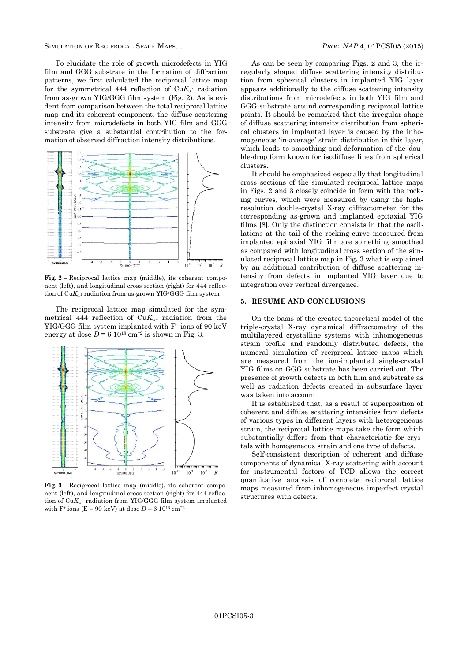SIMULATION OF RECIPROCAL SPACE MAPS… *PROC. NAP* **4**, 01PCSI05 (2015)

To elucidate the role of growth microdefects in YIG film and GGG substrate in the formation of diffraction patterns, we first calculated the reciprocal lattice map for the symmetrical 444 reflection of  $CuK_{\alpha1}$  radiation from as-grown YIG/GGG film system (Fig. 2). As is evident from comparison between the total reciprocal lattice map and its coherent component, the diffuse scattering intensity from microdefects in both YIG film and GGG substrate give a substantial contribution to the formation of observed diffraction intensity distributions.



**Fig. 2** – Reciprocal lattice map (middle), its coherent component (left), and longitudinal cross section (right) for 444 reflection of  $CuK_{a1}$  radiation from as-grown YIG/GGG film system

The reciprocal lattice map simulated for the symmetrical 444 reflection of  $CuK_{\alpha1}$  radiation from the YIG/GGG film system implanted with F<sup>+</sup> ions of 90 keV energy at dose  $D = 6.10^{13}$  cm<sup>-2</sup> is shown in Fig. 3.



**Fig**. **3** – Reciprocal lattice map (middle), its coherent component (left), and longitudinal cross section (right) for 444 reflection of  $CuK_{\alpha1}$  radiation from YIG/GGG film system implanted with F<sup>+</sup> ions (E = 90 keV) at dose  $D = 6.10^{13}$  cm<sup>-2</sup>

As can be seen by comparing Figs. 2 and 3, the irregularly shaped diffuse scattering intensity distribution from spherical clusters in implanted YIG layer appears additionally to the diffuse scattering intensity distributions from microdefects in both YIG film and GGG substrate around corresponding reciprocal lattice points. It should be remarked that the irregular shape of diffuse scattering intensity distribution from spherical clusters in implanted layer is caused by the inhomogeneous 'in-average' strain distribution in this layer, which leads to smoothing and deformation of the double-drop form known for isodiffuse lines from spherical clusters.

It should be emphasized especially that longitudinal cross sections of the simulated reciprocal lattice maps in Figs. 2 and 3 closely coincide in form with the rocking curves, which were measured by using the highresolution double-crystal X-ray diffractometer for the corresponding as-grown and implanted epitaxial YIG films [8]. Only the distinction consists in that the oscillations at the tail of the rocking curve measured from implanted epitaxial YIG film are something smoothed as compared with longitudinal cross section of the simulated reciprocal lattice map in Fig. 3 what is explained by an additional contribution of diffuse scattering intensity from defects in implanted YIG layer due to integration over vertical divergence.

#### **5. RESUME AND CONCLUSIONS**

On the basis of the created theoretical model of the triple-crystal X-ray dynamical diffractometry of the multilayered crystalline systems with inhomogeneous strain profile and randomly distributed defects, the numeral simulation of reciprocal lattice maps which are measured from the ion-implanted single-crystal YIG films on GGG substrate has been carried out. The presence of growth defects in both film and substrate as well as radiation defects created in subsurface layer was taken into account

It is established that, as a result of superposition of coherent and diffuse scattering intensities from defects of various types in different layers with heterogeneous strain, the reciprocal lattice maps take the form which substantially differs from that characteristic for crystals with homogeneous strain and one type of defects.

Self-consistent description of coherent and diffuse components of dynamical X-ray scattering with account for instrumental factors of TCD allows the correct quantitative analysis of complete reciprocal lattice maps measured from inhomogeneous imperfect crystal structures with defects.